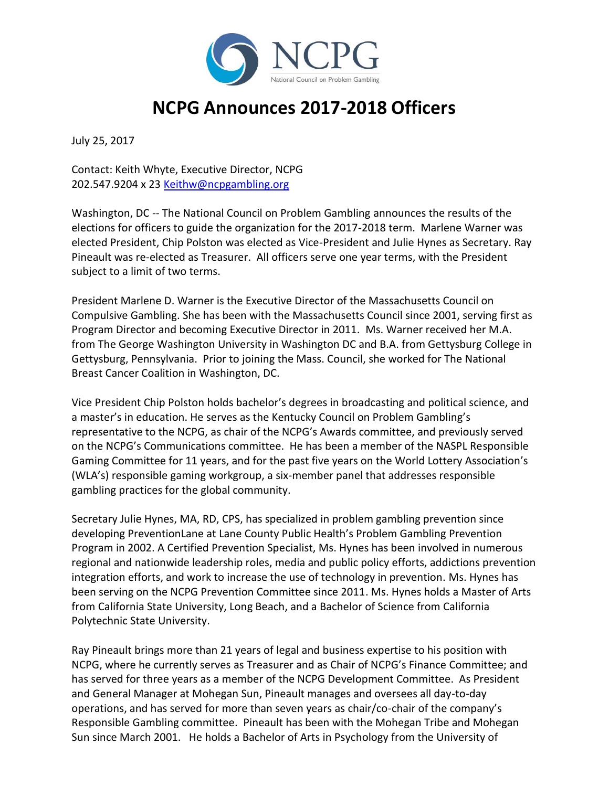

## **NCPG Announces 2017-2018 Officers**

July 25, 2017

Contact: Keith Whyte, Executive Director, NCPG 202.547.9204 x 23 [Keithw@ncpgambling.org](mailto:Keithw@ncpgambling.org)

Washington, DC -- The National Council on Problem Gambling announces the results of the elections for officers to guide the organization for the 2017-2018 term. Marlene Warner was elected President, Chip Polston was elected as Vice-President and Julie Hynes as Secretary. Ray Pineault was re-elected as Treasurer. All officers serve one year terms, with the President subject to a limit of two terms.

President Marlene D. Warner is the Executive Director of the Massachusetts Council on Compulsive Gambling. She has been with the Massachusetts Council since 2001, serving first as Program Director and becoming Executive Director in 2011. Ms. Warner received her M.A. from The George Washington University in Washington DC and B.A. from Gettysburg College in Gettysburg, Pennsylvania. Prior to joining the Mass. Council, she worked for The National Breast Cancer Coalition in Washington, DC.

Vice President Chip Polston holds bachelor's degrees in broadcasting and political science, and a master's in education. He serves as the Kentucky Council on Problem Gambling's representative to the NCPG, as chair of the NCPG's Awards committee, and previously served on the NCPG's Communications committee. He has been a member of the NASPL Responsible Gaming Committee for 11 years, and for the past five years on the World Lottery Association's (WLA's) responsible gaming workgroup, a six-member panel that addresses responsible gambling practices for the global community.

Secretary Julie Hynes, MA, RD, CPS, has specialized in problem gambling prevention since developing PreventionLane at Lane County Public Health's Problem Gambling Prevention Program in 2002. A Certified Prevention Specialist, Ms. Hynes has been involved in numerous regional and nationwide leadership roles, media and public policy efforts, addictions prevention integration efforts, and work to increase the use of technology in prevention. Ms. Hynes has been serving on the NCPG Prevention Committee since 2011. Ms. Hynes holds a Master of Arts from California State University, Long Beach, and a Bachelor of Science from California Polytechnic State University.

Ray Pineault brings more than 21 years of legal and business expertise to his position with NCPG, where he currently serves as Treasurer and as Chair of NCPG's Finance Committee; and has served for three years as a member of the NCPG Development Committee. As President and General Manager at Mohegan Sun, Pineault manages and oversees all day-to-day operations, and has served for more than seven years as chair/co-chair of the company's Responsible Gambling committee. Pineault has been with the Mohegan Tribe and Mohegan Sun since March 2001. He holds a Bachelor of Arts in Psychology from the University of